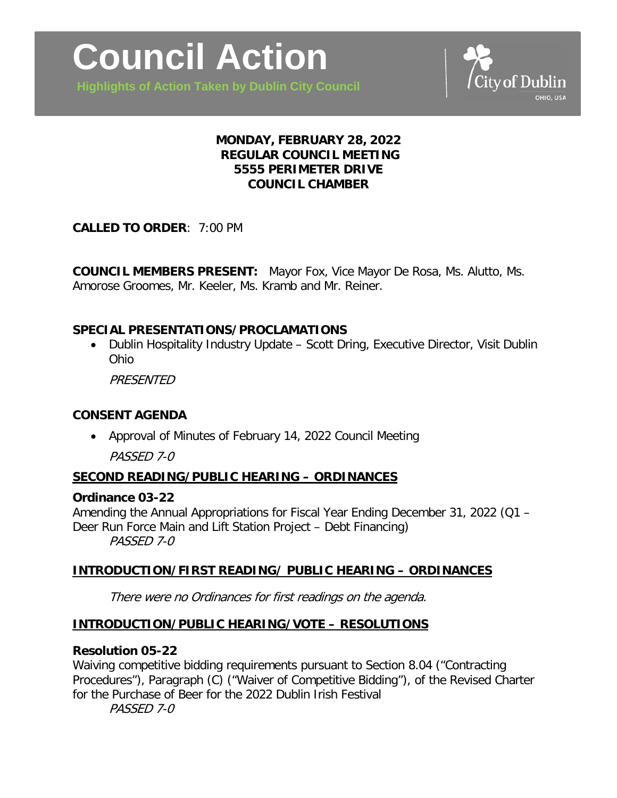**Highlights of Action Taken by Dublin City Council**



## **MONDAY, FEBRUARY 28, 2022 REGULAR COUNCIL MEETING 5555 PERIMETER DRIVE COUNCIL CHAMBER**

**CALLED TO ORDER**: 7:00 PM

**COUNCIL MEMBERS PRESENT:** Mayor Fox, Vice Mayor De Rosa, Ms. Alutto, Ms. Amorose Groomes, Mr. Keeler, Ms. Kramb and Mr. Reiner.

## **SPECIAL PRESENTATIONS/PROCLAMATIONS**

• Dublin Hospitality Industry Update – Scott Dring, Executive Director, Visit Dublin Ohio

**PRESENTED** 

### **CONSENT AGENDA**

• Approval of Minutes of February 14, 2022 Council Meeting

PASSED 7-0

# **SECOND READING/PUBLIC HEARING – ORDINANCES**

### **Ordinance 03-22**

Amending the Annual Appropriations for Fiscal Year Ending December 31, 2022 (Q1 – Deer Run Force Main and Lift Station Project – Debt Financing) PASSED 7-0

### **INTRODUCTION/FIRST READING/ PUBLIC HEARING – ORDINANCES**

There were no Ordinances for first readings on the agenda.

### **INTRODUCTION/PUBLIC HEARING/VOTE – RESOLUTIONS**

### **Resolution 05-22**

Waiving competitive bidding requirements pursuant to Section 8.04 ("Contracting Procedures"), Paragraph (C) ("Waiver of Competitive Bidding"), of the Revised Charter for the Purchase of Beer for the 2022 Dublin Irish Festival

PASSED 7-0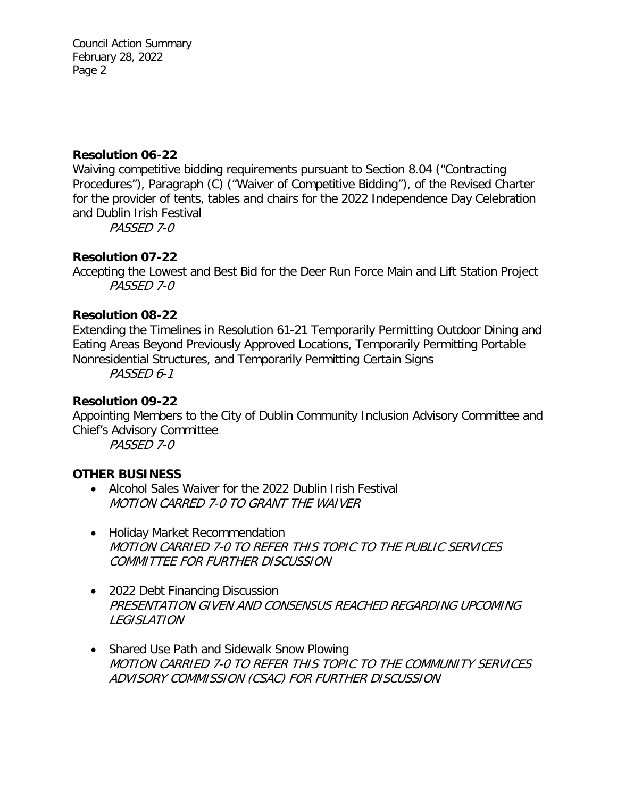Council Action Summary February 28, 2022 Page 2

## **Resolution 06-22**

Waiving competitive bidding requirements pursuant to Section 8.04 ("Contracting Procedures"), Paragraph (C) ("Waiver of Competitive Bidding"), of the Revised Charter for the provider of tents, tables and chairs for the 2022 Independence Day Celebration and Dublin Irish Festival

PASSED 7-0

# **Resolution 07-22**

Accepting the Lowest and Best Bid for the Deer Run Force Main and Lift Station Project PASSED 7-0

## **Resolution 08-22**

Extending the Timelines in Resolution 61-21 Temporarily Permitting Outdoor Dining and Eating Areas Beyond Previously Approved Locations, Temporarily Permitting Portable Nonresidential Structures, and Temporarily Permitting Certain Signs

PASSED 6-1

## **Resolution 09-22**

Appointing Members to the City of Dublin Community Inclusion Advisory Committee and Chief's Advisory Committee

PASSED 7-0

# **OTHER BUSINESS**

- Alcohol Sales Waiver for the 2022 Dublin Irish Festival MOTION CARRED 7-0 TO GRANT THE WAIVER
- Holiday Market Recommendation MOTION CARRIED 7-0 TO REFER THIS TOPIC TO THE PUBLIC SERVICES COMMITTEE FOR FURTHER DISCUSSION
- 2022 Debt Financing Discussion PRESENTATION GIVEN AND CONSENSUS REACHED REGARDING UPCOMING LEGISLATION
- Shared Use Path and Sidewalk Snow Plowing MOTION CARRIED 7-0 TO REFER THIS TOPIC TO THE COMMUNITY SERVICES ADVISORY COMMISSION (CSAC) FOR FURTHER DISCUSSION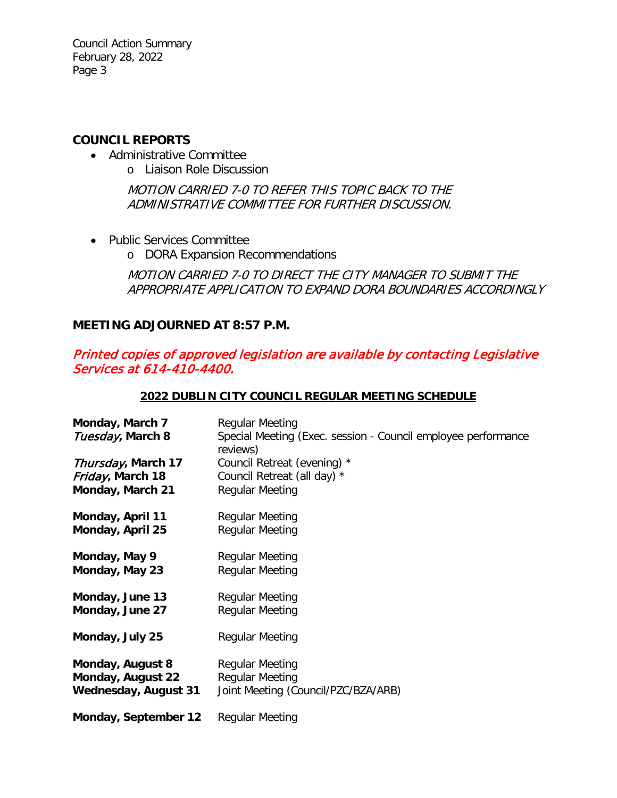Council Action Summary February 28, 2022 Page 3

### **COUNCIL REPORTS**

- Administrative Committee
	- o Liaison Role Discussion

MOTION CARRIED 7-0 TO REFER THIS TOPIC BACK TO THE ADMINISTRATIVE COMMITTEE FOR FURTHER DISCUSSION.

- Public Services Committee
	- o DORA Expansion Recommendations

MOTION CARRIED 7-0 TO DIRECT THE CITY MANAGER TO SUBMIT THE APPROPRIATE APPLICATION TO EXPAND DORA BOUNDARIES ACCORDINGLY

# **MEETING ADJOURNED AT 8:57 P.M.**

# Printed copies of approved legislation are available by contacting Legislative Services at 614-410-4400.

### **2022 DUBLIN CITY COUNCIL REGULAR MEETING SCHEDULE**

| Monday, March 7<br>Tuesday, March 8 | <b>Regular Meeting</b><br>Special Meeting (Exec. session - Council employee performance<br>reviews) |
|-------------------------------------|-----------------------------------------------------------------------------------------------------|
| Thursday, March 17                  | Council Retreat (evening) *                                                                         |
| Friday, March 18                    | Council Retreat (all day) *                                                                         |
| Monday, March 21                    | <b>Regular Meeting</b>                                                                              |
| Monday, April 11                    | <b>Regular Meeting</b>                                                                              |
| Monday, April 25                    | <b>Regular Meeting</b>                                                                              |
| Monday, May 9                       | <b>Regular Meeting</b>                                                                              |
| Monday, May 23                      | <b>Regular Meeting</b>                                                                              |
| Monday, June 13                     | <b>Regular Meeting</b>                                                                              |
| Monday, June 27                     | <b>Regular Meeting</b>                                                                              |
| Monday, July 25                     | <b>Regular Meeting</b>                                                                              |
| Monday, August 8                    | <b>Regular Meeting</b>                                                                              |
| Monday, August 22                   | <b>Regular Meeting</b>                                                                              |
| <b>Wednesday, August 31</b>         | Joint Meeting (Council/PZC/BZA/ARB)                                                                 |
| Monday, September 12                | Regular Meeting                                                                                     |